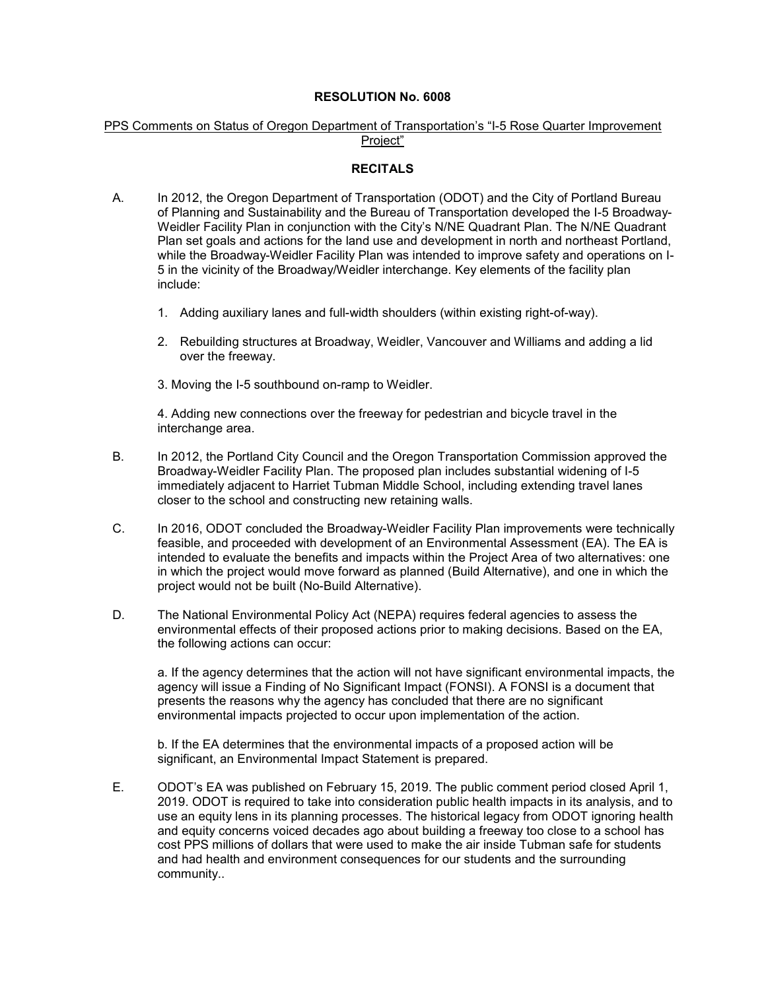## **RESOLUTION No. 6008**

## PPS Comments on Status of Oregon Department of Transportation's "I-5 Rose Quarter Improvement Project"

## **RECITALS**

- A. In 2012, the Oregon Department of Transportation (ODOT) and the City of Portland Bureau of Planning and Sustainability and the Bureau of Transportation developed the I-5 Broadway-Weidler Facility Plan in conjunction with the City's N/NE Quadrant Plan. The N/NE Quadrant Plan set goals and actions for the land use and development in north and northeast Portland, while the Broadway-Weidler Facility Plan was intended to improve safety and operations on I-5 in the vicinity of the Broadway/Weidler interchange. Key elements of the facility plan include:
	- 1. Adding auxiliary lanes and full-width shoulders (within existing right-of-way).
	- 2. Rebuilding structures at Broadway, Weidler, Vancouver and Williams and adding a lid over the freeway.
	- 3. Moving the I-5 southbound on-ramp to Weidler.

4. Adding new connections over the freeway for pedestrian and bicycle travel in the interchange area.

- B. In 2012, the Portland City Council and the Oregon Transportation Commission approved the Broadway-Weidler Facility Plan. The proposed plan includes substantial widening of I-5 immediately adjacent to Harriet Tubman Middle School, including extending travel lanes closer to the school and constructing new retaining walls.
- C. In 2016, ODOT concluded the Broadway-Weidler Facility Plan improvements were technically feasible, and proceeded with development of an Environmental Assessment (EA). The EA is intended to evaluate the benefits and impacts within the Project Area of two alternatives: one in which the project would move forward as planned (Build Alternative), and one in which the project would not be built (No-Build Alternative).
- D. The National Environmental Policy Act (NEPA) requires federal agencies to assess the environmental effects of their proposed actions prior to making decisions. Based on the EA, the following actions can occur:

a. If the agency determines that the action will not have significant environmental impacts, the agency will issue a Finding of No Significant Impact (FONSI). A FONSI is a document that presents the reasons why the agency has concluded that there are no significant environmental impacts projected to occur upon implementation of the action.

b. If the EA determines that the environmental impacts of a proposed action will be significant, an Environmental Impact Statement is prepared.

E. ODOT's EA was published on February 15, 2019. The public comment period closed April 1, 2019. ODOT is required to take into consideration public health impacts in its analysis, and to use an equity lens in its planning processes. The historical legacy from ODOT ignoring health and equity concerns voiced decades ago about building a freeway too close to a school has cost PPS millions of dollars that were used to make the air inside Tubman safe for students and had health and environment consequences for our students and the surrounding community..